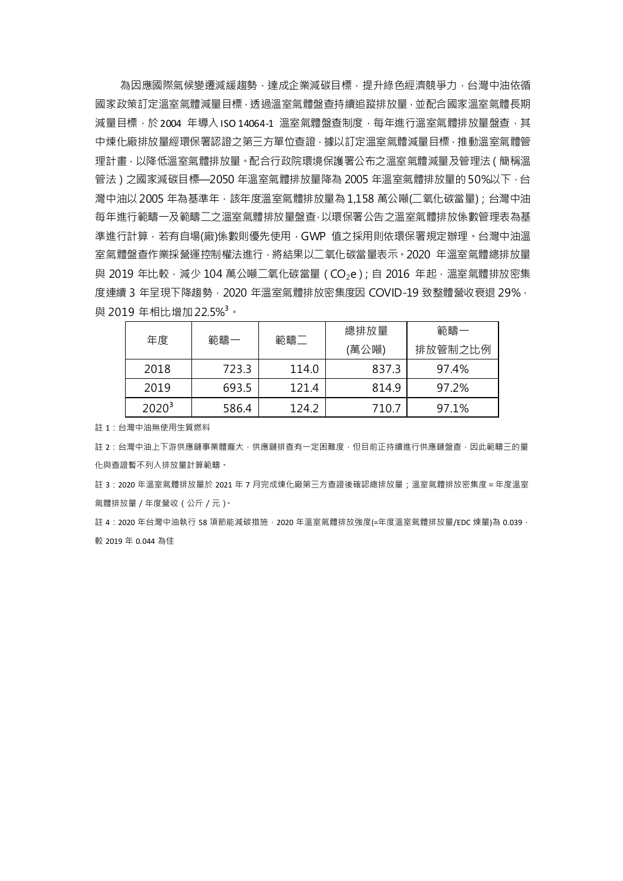為因應國際氣候變遷減緩趨勢,達成企業減碳目標,提升綠色經濟競爭力,台灣中油依循 國家政策訂定溫室氣體減量目標,透過溫室氣體盤查持續追蹤排放量,並配合國家溫室氣體長期 減量目標,於2004 年導入ISO 14064-1 溫室氣體盤杳制度,每年推行溫室氣體排放量盤杳,其 中煉化廠排放量經環保署認證之第三方單位查證,據以訂定溫室氣體減量目標,推動溫室氣體管 理計畫,以降低溫室氣體排放量。配合行政院環境保護署公布之溫室氣體減量及管理法(簡稱溫 管法)之國家減碳目標—2050 年溫室氣體排放量降為 2005 年溫室氣體排放量的50%以下,台 灣中油以 2005 年為基準年,該年度溫室氣體排放量為 1,158 萬公噸(二氧化碳當量); 台灣中油 每年進行範疇一及範疇二之溫室氣體排放量盤查,以環保署公告之溫室氣體排放係數管理表為基 準進行計算,若有自場(廠)係數則優先使用,GWP 值之採用則依環保署規定辦理。台灣中油溫 室氣體盤查作業採營運控制權法進行,將結果以二氧化碳當量表示。2020 年溫室氣體總排放量 與 2019 年比較,減少 104 萬公噸二氧化碳當量 ( CO<sub>2</sub>e ); 自 2016 年起,溫室氣體排放密集 度連續 3 年呈現下降趨勢, 2020 年溫室氣體排放密集度因 COVID-19 致整體營收衰退 29%, 與 2019 年相比增加22.5% **<sup>3</sup>**。

| 年度       | 範疇一   | 範疇二   | 總排放量<br>(萬公噸) | 範疇一<br>排放管制之比例 |
|----------|-------|-------|---------------|----------------|
| 2018     | 723.3 | 114.0 | 837.3         | 97.4%          |
| 2019     | 693.5 | 121.4 | 814.9         | 97.2%          |
| $2020^3$ | 586.4 | 124.2 | 710.7         | 97.1%          |

註 1:台灣中油無使用生質燃料

註 2 : 台灣中油上下游供應鏈事業體龐大, 供應鏈排查有一定困難度, 但目前正持續進行供應鏈盤查, 因此範疇三的量 化與查證暫不列入排放量計算範疇。

註 3:2020 年溫室氣體排放量於 2021 年 7 月完成煉化廠第三方查證後確認總排放量;溫室氣體排放密集度 = 年度溫室 氣體排放量/年度營收(公斤/元)。

註 4:2020 年台灣中油執行 58 項節能減碳措施, 2020 年溫室氣體排放強度(=年度溫室氣體排放量/EDC 煉量)為 0.039, 較 2019 年 0.044 為佳